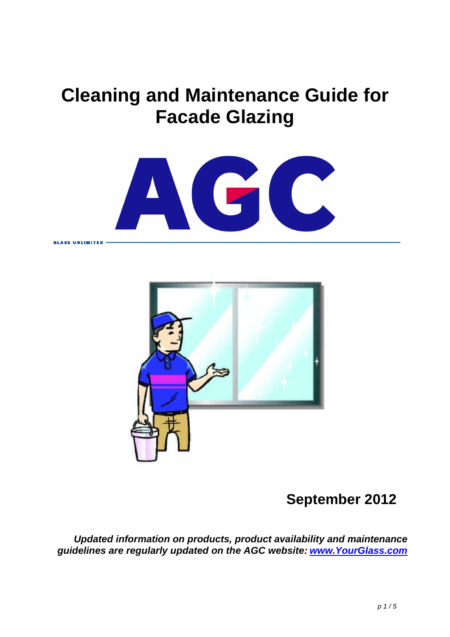# **Cleaning and Maintenance Guide for Facade Glazing**





# **September 2012**

**Updated information on products, product availability and maintenance guidelines are regularly updated on the AGC website: www.YourGlass.com**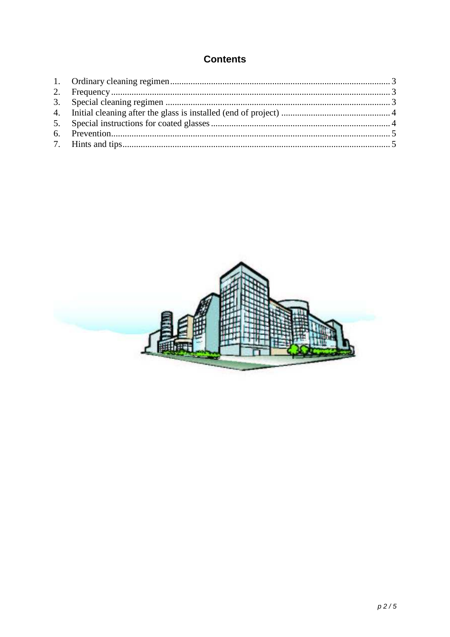## **Contents**

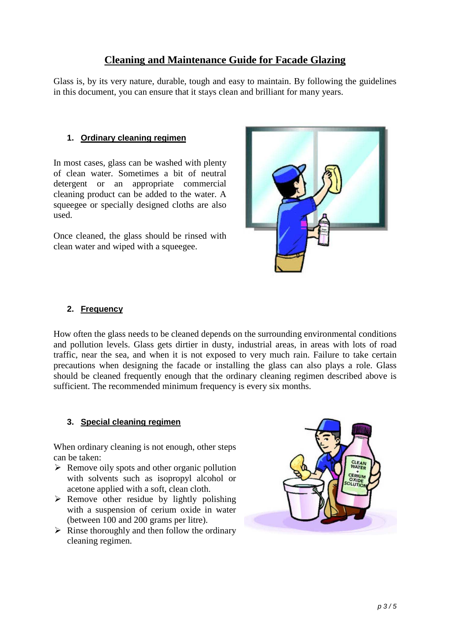### **Cleaning and Maintenance Guide for Facade Glazing**

Glass is, by its very nature, durable, tough and easy to maintain. By following the guidelines in this document, you can ensure that it stays clean and brilliant for many years.

#### **1. Ordinary cleaning regimen**

In most cases, glass can be washed with plenty of clean water. Sometimes a bit of neutral detergent or an appropriate commercial cleaning product can be added to the water. A squeegee or specially designed cloths are also used.

Once cleaned, the glass should be rinsed with clean water and wiped with a squeegee.



#### **2. Frequency**

How often the glass needs to be cleaned depends on the surrounding environmental conditions and pollution levels. Glass gets dirtier in dusty, industrial areas, in areas with lots of road traffic, near the sea, and when it is not exposed to very much rain. Failure to take certain precautions when designing the facade or installing the glass can also plays a role. Glass should be cleaned frequently enough that the ordinary cleaning regimen described above is sufficient. The recommended minimum frequency is every six months.

#### **3. Special cleaning regimen**

When ordinary cleaning is not enough, other steps can be taken:

- $\triangleright$  Remove oily spots and other organic pollution with solvents such as isopropyl alcohol or acetone applied with a soft, clean cloth.
- $\triangleright$  Remove other residue by lightly polishing with a suspension of cerium oxide in water (between 100 and 200 grams per litre).
- $\triangleright$  Rinse thoroughly and then follow the ordinary cleaning regimen.

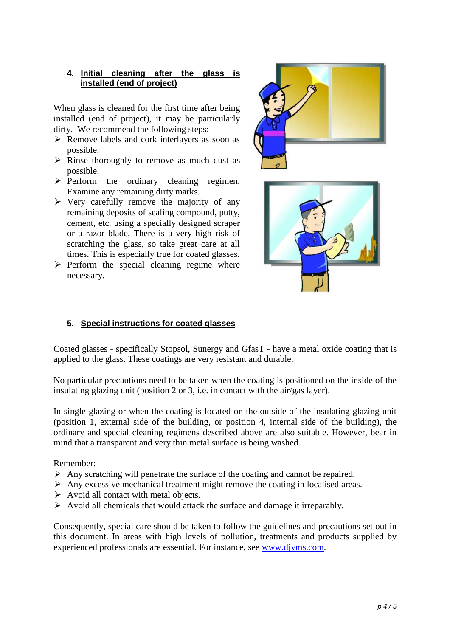#### **4. Initial cleaning after the glass is installed (end of project)**

When glass is cleaned for the first time after being installed (end of project), it may be particularly dirty. We recommend the following steps:

- $\triangleright$  Remove labels and cork interlayers as soon as possible.
- $\triangleright$  Rinse thoroughly to remove as much dust as possible.
- $\triangleright$  Perform the ordinary cleaning regimen. Examine any remaining dirty marks.
- $\triangleright$  Very carefully remove the majority of any remaining deposits of sealing compound, putty, cement, etc. using a specially designed scraper or a razor blade. There is a very high risk of scratching the glass, so take great care at all times. This is especially true for coated glasses.
- $\triangleright$  Perform the special cleaning regime where necessary.





#### **5. Special instructions for coated glasses**

Coated glasses - specifically Stopsol, Sunergy and GfasT - have a metal oxide coating that is applied to the glass. These coatings are very resistant and durable.

No particular precautions need to be taken when the coating is positioned on the inside of the insulating glazing unit (position 2 or 3, i.e. in contact with the air/gas layer).

In single glazing or when the coating is located on the outside of the insulating glazing unit (position 1, external side of the building, or position 4, internal side of the building), the ordinary and special cleaning regimens described above are also suitable. However, bear in mind that a transparent and very thin metal surface is being washed.

#### Remember:

- $\triangleright$  Any scratching will penetrate the surface of the coating and cannot be repaired.
- Any excessive mechanical treatment might remove the coating in localised areas.
- $\triangleright$  Avoid all contact with metal objects.
- $\triangleright$  Avoid all chemicals that would attack the surface and damage it irreparably.

Consequently, special care should be taken to follow the guidelines and precautions set out in this document. In areas with high levels of pollution, treatments and products supplied by experienced professionals are essential. For instance, see www.djyms.com.